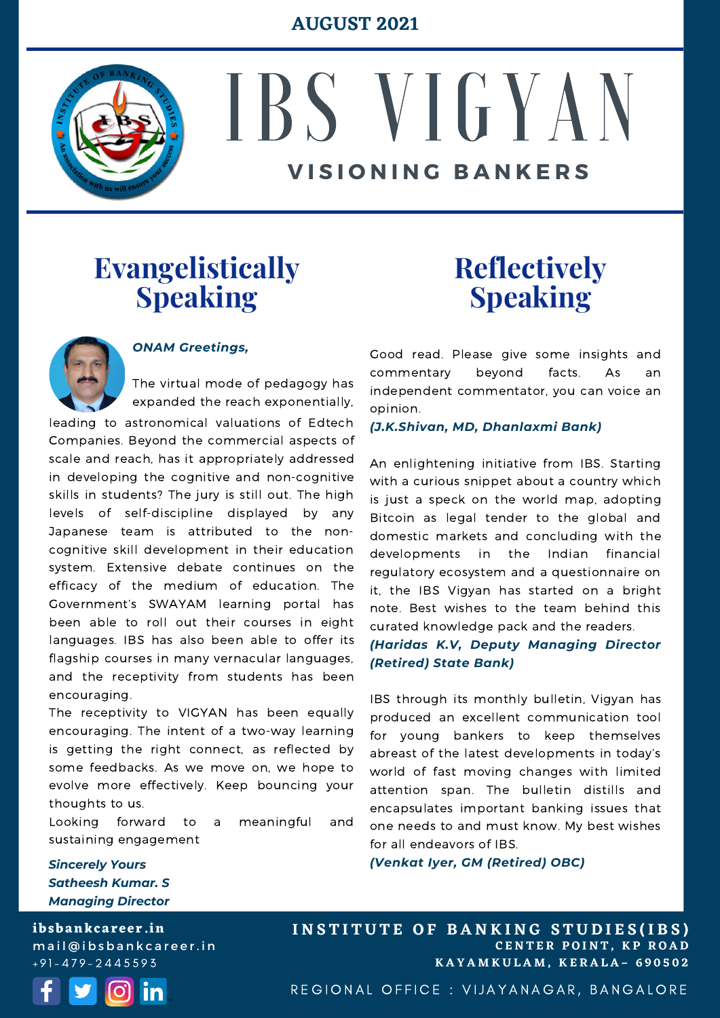#### **AUGUST 2021**



# IBS VIGYAN **V I S I O N I N G B A N K E R S**

#### **Evangelistically Speaking**



#### *ONAM Greetings,*

The virtual mode of pedagogy has expanded the reach exponentially,

leading to astronomical valuations of Edtech Companies. Beyond the commercial aspects of scale and reach, has it appropriately addressed in developing the cognitive and non-cognitive skills in students? The jury is still out. The high levels of self-discipline displayed by any Japanese team is attributed to the noncognitive skill development in their education system. Extensive debate continues on the efficacy of the medium of education. The Government's SWAYAM learning portal has been able to roll out their courses in eight languages. IBS has also been able to offer its flagship courses in many vernacular languages, and the receptivity from students has been encouraging.

The receptivity to VIGYAN has been equally encouraging. The intent of a two-way learning is getting the right connect, as reflected by some feedbacks. As we move on, we hope to evolve more effectively. Keep bouncing your thoughts to us.

Looking forward to a meaningful and sustaining engagement

### **Reflectively Speaking**

Good read. Please give some insights and commentary beyond facts. As an independent commentator, you can voice an opinion.

*(J.K.Shivan, MD, Dhanlaxmi Bank)*

An enlightening initiative from IBS. Starting with a curious snippet about a country which is just a speck on the world map, adopting Bitcoin as legal tender to the global and domestic markets and concluding with the developments in the Indian financial regulatory ecosystem and a questionnaire on it, the IBS Vigyan has started on a bright note. Best wishes to the team behind this curated knowledge pack and the readers.

*(Haridas K.V, Deputy Managing Director (Retired) State Bank)*

IBS through its monthly bulletin, Vigyan has produced an excellent communication tool for young bankers to keep themselves abreast of the latest developments in today's world of fast moving changes with limited attention span. The bulletin distills and encapsulates important banking issues that one needs to and must know. My best wishes for all endeavors of IBS.

*(Venkat Iyer, GM (Retired) OBC)*

*Sincerely Yours Satheesh Kumar. S Managing Director*

**ibsbankcareer.in** mail@ibsbankcareer.in  $+91 - 479 - 2445593$ 



**C E N T E R P O I N T , K P R O A D K A Y A M K U L A M , K E R A L A – 6 9 0 5 0 2 INSTITUTE OF BANKING STUDIES(IBS)** 

REGIONAL OFFICE : VIJAYANAGAR, BANGALORE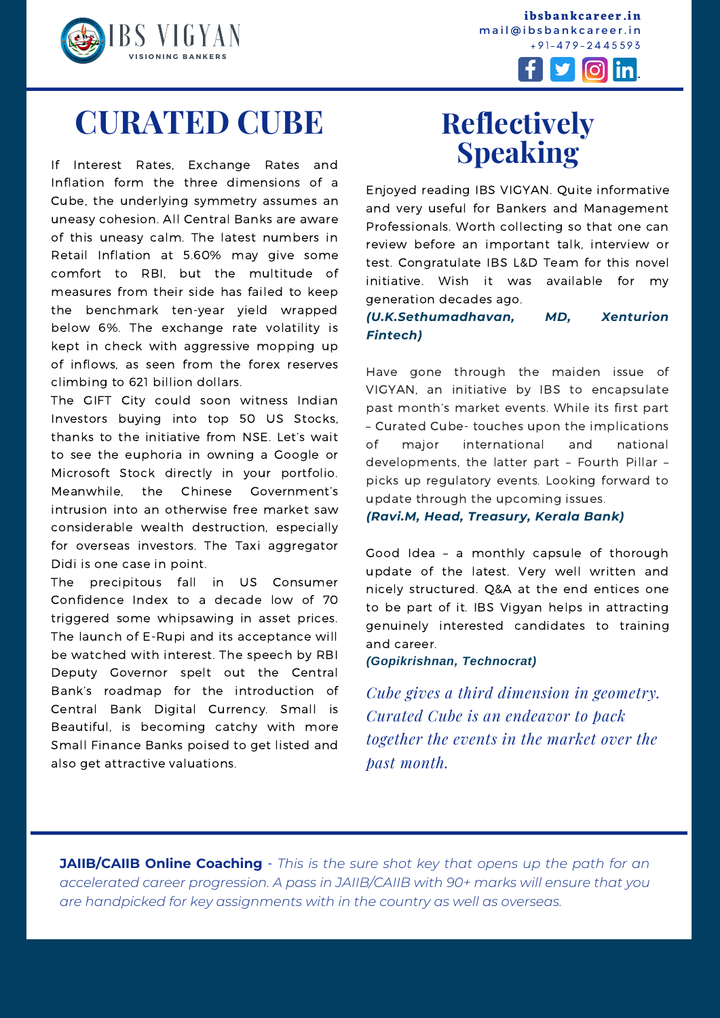



 $|O|$  in V

## **CURATED CUBE**

If Interest Rates, Exchange Rates and Inflation form the three dimensions of a Cube, the underlying symmetry assumes an uneasy cohesion. All Central Banks are aware of this uneasy calm. The latest numbers in Retail Inflation at 5.60% may give some comfort to RBI, but the multitude of measures from their side has failed to keep the benchmark ten-year yield wrapped below 6%. The exchange rate volatility is kept in check with aggressive mopping up of inflows, as seen from the forex reserves climbing to 621 billion dollars.

The GIFT City could soon witness Indian Investors buying into top 50 US Stocks, thanks to the initiative from NSE. Let's wait to see the euphoria in owning a Google or Microsoft Stock directly in your portfolio. Meanwhile, the Chinese Government's intrusion into an otherwise free market saw considerable wealth destruction, especially for overseas investors. The Taxi aggregator Didi is one case in point.

The precipitous fall in US Consumer Confidence Index to a decade low of 70 triggered some whipsawing in asset prices. The launch of E-Rupi and its acceptance will be watched with interest. The speech by RBI Deputy Governor spelt out the Central Bank's roadmap for the introduction of Central Bank Digital Currency. Small is Beautiful, is becoming catchy with more Small Finance Banks poised to get listed and also get attractive valuations.

## **Reflectively Speaking**

Enjoyed reading IBS VIGYAN. Quite informative and very useful for Bankers and Management Professionals. Worth collecting so that one can review before an important talk, interview or test. Congratulate IBS L&D Team for this novel initiative. Wish it was available for my generation decades ago.

#### *(U.K.Sethumadhavan, MD, Xenturion Fintech)*

Have gone through the maiden issue of VIGYAN, an initiative by IBS to encapsulate past month's market events. While its first part – Curated Cube- touches upon the implications of major international and national developments, the latter part – Fourth Pillar – picks up regulatory events. Looking forward to update through the upcoming issues.

*(Ravi.M, Head, Treasury, Kerala Bank)*

Good Idea – a monthly capsule of thorough update of the latest. Very well written and nicely structured. Q&A at the end entices one to be part of it. IBS Vigyan helps in attracting genuinely interested candidates to training and career.

*(Gopikrishnan, Technocrat)*

*Cube gives a third dimension in geometry. Curated Cube is an endeavor to pack together the events in the market over the past month.*

**I N S T I T U T E O F B A N K I N G S T U D I E S (I B S )**

**JAIIB/CAIIB Online Coaching** - *This is the sure shot key that opens up the path for an accelerated career progression. A pass in [JAIIB/CAIIB](https://ibsbankcareer.in/course/) with 90+ marks will ensure that you are handpicked for key assignments with in the country as well as overseas.*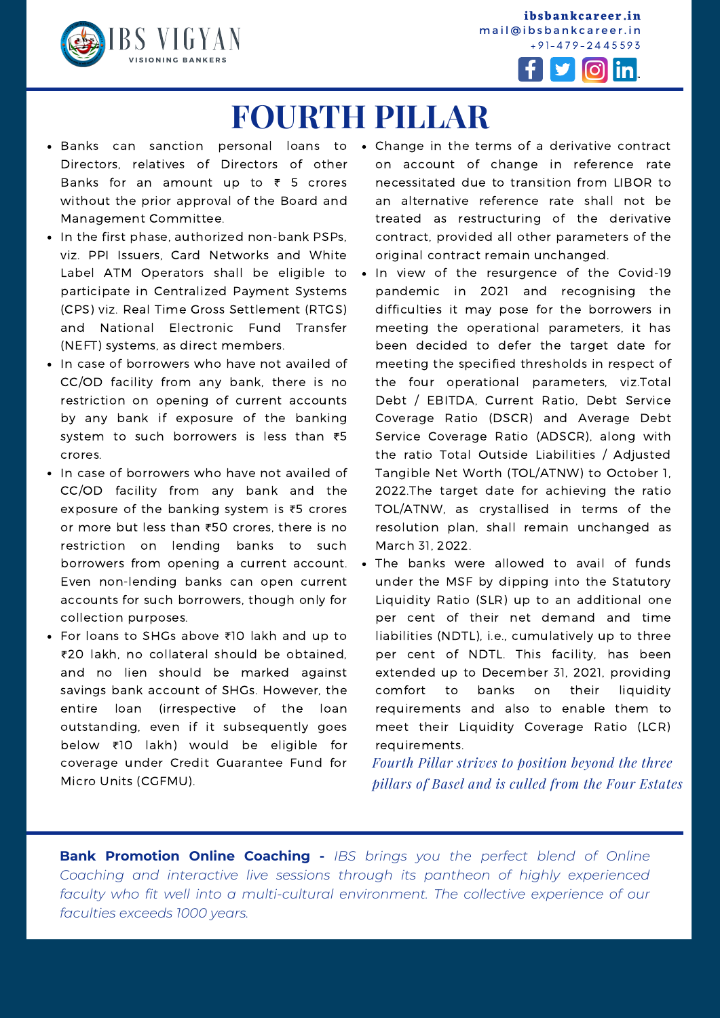

**ibsbankcareer.in** mail@ibsbankcareer.in  $+91 - 479 - 2445593$ 



## **FOURTH PILLAR**

- Directors, relatives of Directors of other Banks for an amount up to  $\bar{\tau}$  5 crores without the prior approval of the Board and Management Committee.
- In the first phase, authorized non-bank PSPs, viz. PPI Issuers, Card Networks and White Label ATM Operators shall be eligible to . participate in Centralized Payment Systems (CPS) viz. Real Time Gross Settlement (RTGS) and National Electronic Fund Transfer (NEFT) systems, as direct members.
- In case of borrowers who have not availed of CC/OD facility from any bank, there is no restriction on opening of current accounts by any bank if exposure of the banking system to such borrowers is less than ₹5 crores.
- In case of borrowers who have not availed of CC/OD facility from any bank and the exposure of the banking system is ₹5 crores or more but less than ₹50 crores, there is no restriction on lending banks to such borrowers from opening a current account. Even non-lending banks can open current accounts for such borrowers, though only for collection purposes.
- For loans to SHGs above ₹10 lakh and up to ₹20 lakh, no collateral should be obtained, and no lien should be marked against savings bank account of SHGs. However, the entire loan (irrespective of the loan outstanding, even if it subsequently goes below ₹10 lakh) would be eligible for coverage under Credit Guarantee Fund for Micro Units (CGFMU).
- Banks can sanction personal loans to Change in the terms of a derivative contract on account of change in reference rate necessitated due to transition from LIBOR to an alternative reference rate shall not be treated as restructuring of the derivative contract, provided all other parameters of the original contract remain unchanged.
	- In view of the resurgence of the Covid-19 pandemic in 2021 and recognising the difficulties it may pose for the borrowers in meeting the operational parameters, it has been decided to defer the target date for meeting the specified thresholds in respect of the four operational parameters, viz.Total Debt / EBITDA, Current Ratio, Debt Service Coverage Ratio (DSCR) and Average Debt Service Coverage Ratio (ADSCR), along with the ratio Total Outside Liabilities / Adjusted Tangible Net Worth (TOL/ATNW) to October 1, 2022.The target date for achieving the ratio TOL/ATNW, as crystallised in terms of the resolution plan, shall remain unchanged as March 31, 2022.
	- The banks were allowed to avail of funds under the MSF by dipping into the Statutory Liquidity Ratio (SLR) up to an additional one per cent of their net demand and time liabilities (NDTL), i.e., cumulatively up to three per cent of NDTL. This facility, has been extended up to December 31, 2021, providing comfort to banks on their liquidity requirements and also to enable them to meet their Liquidity Coverage Ratio (LCR) requirements.

*Fourth Pillar strives to position beyond the three pillars of Basel and is culled from the Four Estates*

**I N S T I T U T E O F B A N K I N G S T U D I E S (I B S )**

**Bank Promotion Online Coaching -** *IBS brings you the perfect blend of Online Coaching and interactive live sessions through its pantheon of highly experienced faculty who fit well into a multi-cultural environment. The collective experience of our faculties exceeds 1000 years.*